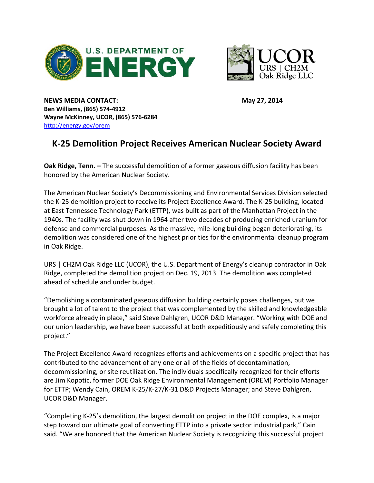



**NEWS MEDIA CONTACT: May 27, 2014 Ben Williams, (865) 574-4912 Wayne McKinney, UCOR, (865) 576-6284** <http://energy.gov/orem>

## **K-25 Demolition Project Receives American Nuclear Society Award**

**Oak Ridge, Tenn. –** The successful demolition of a former gaseous diffusion facility has been honored by the American Nuclear Society.

The American Nuclear Society's Decommissioning and Environmental Services Division selected the K-25 demolition project to receive its Project Excellence Award. The K-25 building, located at East Tennessee Technology Park (ETTP), was built as part of the Manhattan Project in the 1940s. The facility was shut down in 1964 after two decades of producing enriched uranium for defense and commercial purposes. As the massive, mile-long building began deteriorating, its demolition was considered one of the highest priorities for the environmental cleanup program in Oak Ridge.

URS | CH2M Oak Ridge LLC (UCOR), the U.S. Department of Energy's cleanup contractor in Oak Ridge, completed the demolition project on Dec. 19, 2013. The demolition was completed ahead of schedule and under budget.

"Demolishing a contaminated gaseous diffusion building certainly poses challenges, but we brought a lot of talent to the project that was complemented by the skilled and knowledgeable workforce already in place," said Steve Dahlgren, UCOR D&D Manager. "Working with DOE and our union leadership, we have been successful at both expeditiously and safely completing this project."

The Project Excellence Award recognizes efforts and achievements on a specific project that has contributed to the advancement of any one or all of the fields of decontamination, decommissioning, or site reutilization. The individuals specifically recognized for their efforts are Jim Kopotic, former DOE Oak Ridge Environmental Management (OREM) Portfolio Manager for ETTP; Wendy Cain, OREM K-25/K-27/K-31 D&D Projects Manager; and Steve Dahlgren, UCOR D&D Manager.

"Completing K-25's demolition, the largest demolition project in the DOE complex, is a major step toward our ultimate goal of converting ETTP into a private sector industrial park," Cain said. "We are honored that the American Nuclear Society is recognizing this successful project